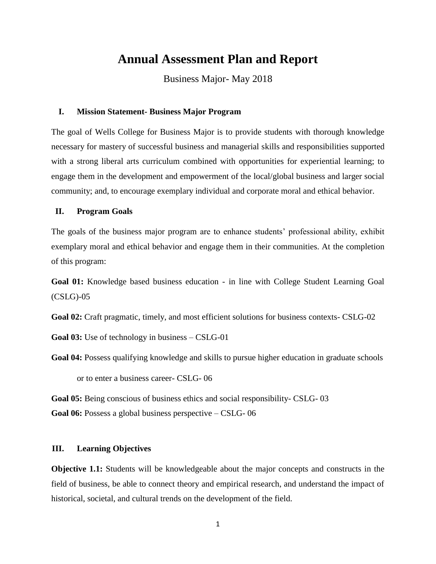# **Annual Assessment Plan and Report**

Business Major- May 2018

#### **I. Mission Statement- Business Major Program**

The goal of Wells College for Business Major is to provide students with thorough knowledge necessary for mastery of successful business and managerial skills and responsibilities supported with a strong liberal arts curriculum combined with opportunities for experiential learning; to engage them in the development and empowerment of the local/global business and larger social community; and, to encourage exemplary individual and corporate moral and ethical behavior.

#### **II. Program Goals**

The goals of the business major program are to enhance students' professional ability, exhibit exemplary moral and ethical behavior and engage them in their communities. At the completion of this program:

**Goal 01:** Knowledge based business education - in line with College Student Learning Goal (CSLG)-05

**Goal 02:** Craft pragmatic, timely, and most efficient solutions for business contexts- CSLG-02

**Goal 03:** Use of technology in business – CSLG-01

Goal 04: Possess qualifying knowledge and skills to pursue higher education in graduate schools

or to enter a business career- CSLG- 06

**Goal 05:** Being conscious of business ethics and social responsibility- CSLG- 03

**Goal 06:** Possess a global business perspective – CSLG- 06

#### **III. Learning Objectives**

**Objective 1.1:** Students will be knowledgeable about the major concepts and constructs in the field of business, be able to connect theory and empirical research, and understand the impact of historical, societal, and cultural trends on the development of the field.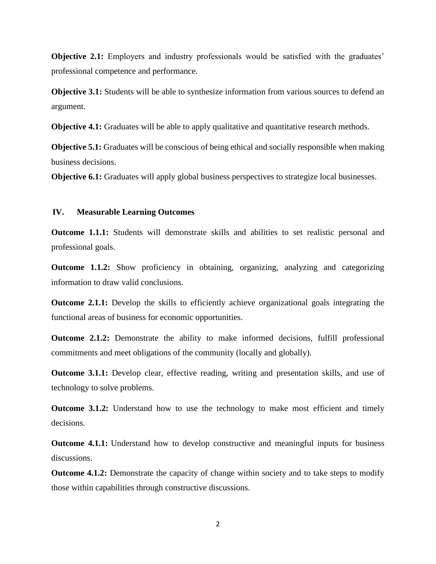**Objective 2.1:** Employers and industry professionals would be satisfied with the graduates' professional competence and performance.

**Objective 3.1:** Students will be able to synthesize information from various sources to defend an argument.

**Objective 4.1:** Graduates will be able to apply qualitative and quantitative research methods.

**Objective 5.1:** Graduates will be conscious of being ethical and socially responsible when making business decisions.

**Objective 6.1:** Graduates will apply global business perspectives to strategize local businesses.

#### **IV. Measurable Learning Outcomes**

**Outcome 1.1.1:** Students will demonstrate skills and abilities to set realistic personal and professional goals.

**Outcome 1.1.2:** Show proficiency in obtaining, organizing, analyzing and categorizing information to draw valid conclusions.

**Outcome 2.1.1:** Develop the skills to efficiently achieve organizational goals integrating the functional areas of business for economic opportunities.

**Outcome 2.1.2:** Demonstrate the ability to make informed decisions, fulfill professional commitments and meet obligations of the community (locally and globally).

**Outcome 3.1.1:** Develop clear, effective reading, writing and presentation skills, and use of technology to solve problems.

**Outcome 3.1.2:** Understand how to use the technology to make most efficient and timely decisions.

**Outcome 4.1.1:** Understand how to develop constructive and meaningful inputs for business discussions.

**Outcome 4.1.2:** Demonstrate the capacity of change within society and to take steps to modify those within capabilities through constructive discussions.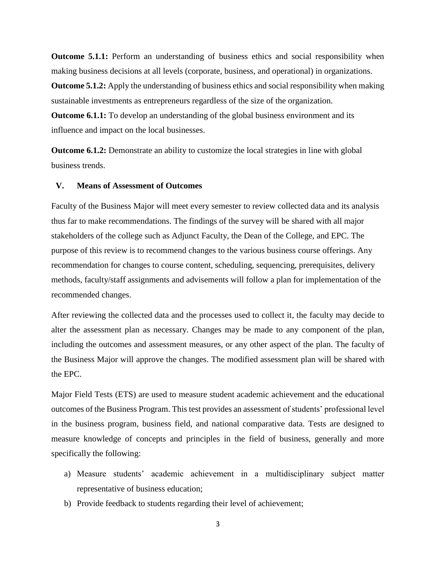**Outcome 5.1.1:** Perform an understanding of business ethics and social responsibility when making business decisions at all levels (corporate, business, and operational) in organizations.

**Outcome 5.1.2:** Apply the understanding of business ethics and social responsibility when making sustainable investments as entrepreneurs regardless of the size of the organization.

**Outcome 6.1.1:** To develop an understanding of the global business environment and its influence and impact on the local businesses.

**Outcome 6.1.2:** Demonstrate an ability to customize the local strategies in line with global business trends.

### **V. Means of Assessment of Outcomes**

Faculty of the Business Major will meet every semester to review collected data and its analysis thus far to make recommendations. The findings of the survey will be shared with all major stakeholders of the college such as Adjunct Faculty, the Dean of the College, and EPC. The purpose of this review is to recommend changes to the various business course offerings. Any recommendation for changes to course content, scheduling, sequencing, prerequisites, delivery methods, faculty/staff assignments and advisements will follow a plan for implementation of the recommended changes.

After reviewing the collected data and the processes used to collect it, the faculty may decide to alter the assessment plan as necessary. Changes may be made to any component of the plan, including the outcomes and assessment measures, or any other aspect of the plan. The faculty of the Business Major will approve the changes. The modified assessment plan will be shared with the EPC.

Major Field Tests (ETS) are used to measure student academic achievement and the educational outcomes of the Business Program. This test provides an assessment of students' professional level in the business program, business field, and national comparative data. Tests are designed to measure knowledge of concepts and principles in the field of business, generally and more specifically the following:

- a) Measure students' academic achievement in a multidisciplinary subject matter representative of business education;
- b) Provide feedback to students regarding their level of achievement;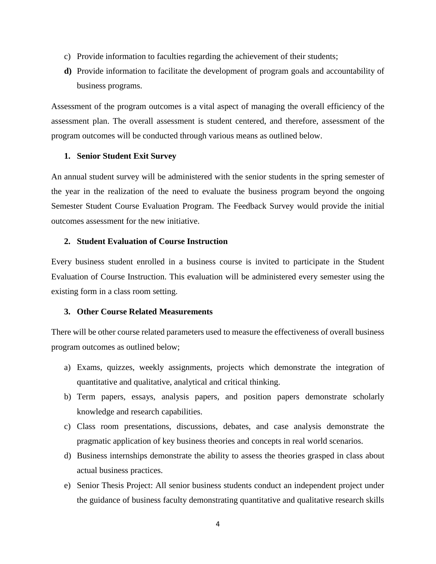- c) Provide information to faculties regarding the achievement of their students;
- **d)** Provide information to facilitate the development of program goals and accountability of business programs.

Assessment of the program outcomes is a vital aspect of managing the overall efficiency of the assessment plan. The overall assessment is student centered, and therefore, assessment of the program outcomes will be conducted through various means as outlined below.

### **1. Senior Student Exit Survey**

An annual student survey will be administered with the senior students in the spring semester of the year in the realization of the need to evaluate the business program beyond the ongoing Semester Student Course Evaluation Program. The Feedback Survey would provide the initial outcomes assessment for the new initiative.

### **2. Student Evaluation of Course Instruction**

Every business student enrolled in a business course is invited to participate in the Student Evaluation of Course Instruction. This evaluation will be administered every semester using the existing form in a class room setting.

### **3. Other Course Related Measurements**

There will be other course related parameters used to measure the effectiveness of overall business program outcomes as outlined below;

- a) Exams, quizzes, weekly assignments, projects which demonstrate the integration of quantitative and qualitative, analytical and critical thinking.
- b) Term papers, essays, analysis papers, and position papers demonstrate scholarly knowledge and research capabilities.
- c) Class room presentations, discussions, debates, and case analysis demonstrate the pragmatic application of key business theories and concepts in real world scenarios.
- d) Business internships demonstrate the ability to assess the theories grasped in class about actual business practices.
- e) Senior Thesis Project: All senior business students conduct an independent project under the guidance of business faculty demonstrating quantitative and qualitative research skills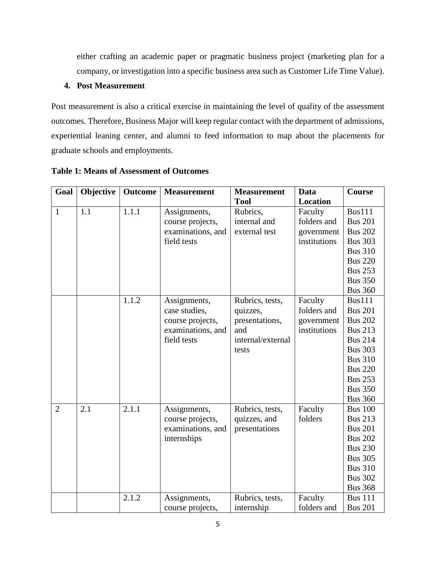either crafting an academic paper or pragmatic business project (marketing plan for a company, or investigation into a specific business area such as Customer Life Time Value).

## **4. Post Measurement**

Post measurement is also a critical exercise in maintaining the level of quality of the assessment outcomes. Therefore, Business Major will keep regular contact with the department of admissions, experiential leaning center, and alumni to feed information to map about the placements for graduate schools and employments.

| Goal<br>Objective<br><b>Outcome</b><br><b>Measurement</b> | <b>Measurement</b>                 | Data            | Course                           |
|-----------------------------------------------------------|------------------------------------|-----------------|----------------------------------|
|                                                           | <b>Tool</b>                        | <b>Location</b> |                                  |
| 1.1.1<br>$\mathbf{1}$<br>1.1<br>Assignments,              | Rubrics,                           | Faculty         | <b>Bus111</b>                    |
| course projects,                                          | internal and                       | folders and     | <b>Bus 201</b>                   |
|                                                           | examinations, and<br>external test | government      | <b>Bus 202</b>                   |
| field tests                                               |                                    | institutions    | <b>Bus 303</b>                   |
|                                                           |                                    |                 | <b>Bus 310</b>                   |
|                                                           |                                    |                 | <b>Bus 220</b>                   |
|                                                           |                                    |                 | <b>Bus 253</b>                   |
|                                                           |                                    |                 | <b>Bus 350</b>                   |
|                                                           |                                    |                 | <b>Bus 360</b>                   |
| 1.1.2<br>Assignments,                                     | Rubrics, tests,                    | Faculty         | <b>Bus111</b>                    |
| case studies,                                             | quizzes,                           | folders and     | <b>Bus 201</b>                   |
| course projects,                                          | presentations,                     | government      | <b>Bus 202</b>                   |
|                                                           | and<br>examinations, and           | institutions    | <b>Bus 213</b>                   |
| field tests                                               | internal/external                  |                 | <b>Bus 214</b>                   |
|                                                           | tests                              |                 | <b>Bus 303</b>                   |
|                                                           |                                    |                 | <b>Bus 310</b>                   |
|                                                           |                                    |                 | <b>Bus 220</b>                   |
|                                                           |                                    |                 | <b>Bus 253</b>                   |
|                                                           |                                    |                 | <b>Bus 350</b>                   |
|                                                           |                                    |                 | <b>Bus 360</b>                   |
| 2.1.1<br>$\overline{2}$<br>2.1<br>Assignments,            | Rubrics, tests,                    | Faculty         | <b>Bus 100</b>                   |
| course projects,                                          | quizzes, and                       | folders         | <b>Bus 213</b>                   |
|                                                           | examinations, and<br>presentations |                 | <b>Bus 201</b>                   |
| internships                                               |                                    |                 | <b>Bus 202</b>                   |
|                                                           |                                    |                 | <b>Bus 230</b><br><b>Bus 305</b> |
|                                                           |                                    |                 | <b>Bus 310</b>                   |
|                                                           |                                    |                 | <b>Bus 302</b>                   |
|                                                           |                                    |                 | <b>Bus 368</b>                   |
| 2.1.2<br>Assignments,                                     | Rubrics, tests,                    | Faculty         | <b>Bus 111</b>                   |
| course projects,                                          | internship                         | folders and     | <b>Bus 201</b>                   |

**Table 1: Means of Assessment of Outcomes**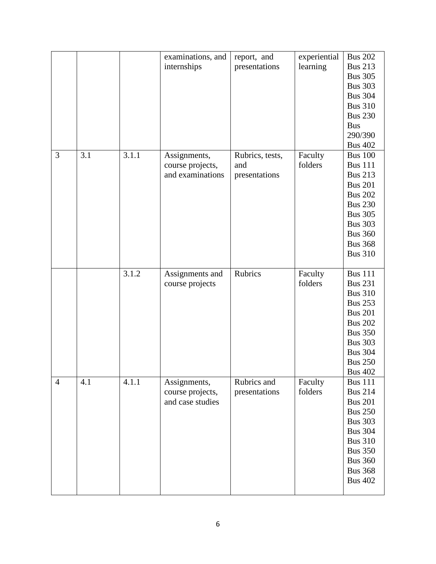|                |     |       | examinations, and<br>internships                     | report, and<br>presentations            | experiential<br>learning | <b>Bus 202</b><br><b>Bus 213</b><br><b>Bus 305</b><br><b>Bus 303</b><br><b>Bus 304</b><br><b>Bus 310</b><br><b>Bus 230</b><br><b>Bus</b><br>290/390<br><b>Bus 402</b>                              |
|----------------|-----|-------|------------------------------------------------------|-----------------------------------------|--------------------------|----------------------------------------------------------------------------------------------------------------------------------------------------------------------------------------------------|
| 3              | 3.1 | 3.1.1 | Assignments,<br>course projects,<br>and examinations | Rubrics, tests,<br>and<br>presentations | Faculty<br>folders       | <b>Bus 100</b><br><b>Bus 111</b><br><b>Bus 213</b><br><b>Bus 201</b><br><b>Bus 202</b><br><b>Bus 230</b><br><b>Bus 305</b><br><b>Bus 303</b><br><b>Bus 360</b><br><b>Bus 368</b><br><b>Bus 310</b> |
|                |     | 3.1.2 | Assignments and<br>course projects                   | Rubrics                                 | Faculty<br>folders       | <b>Bus 111</b><br><b>Bus 231</b><br><b>Bus 310</b><br><b>Bus 253</b><br><b>Bus 201</b><br><b>Bus 202</b><br><b>Bus 350</b><br><b>Bus 303</b><br><b>Bus 304</b><br><b>Bus 250</b><br><b>Bus 402</b> |
| $\overline{4}$ | 4.1 | 4.1.1 | Assignments,<br>course projects,<br>and case studies | Rubrics and<br>presentations            | Faculty<br>folders       | <b>Bus 111</b><br><b>Bus 214</b><br><b>Bus 201</b><br><b>Bus 250</b><br><b>Bus 303</b><br><b>Bus 304</b><br><b>Bus 310</b><br><b>Bus 350</b><br><b>Bus 360</b><br><b>Bus 368</b><br><b>Bus 402</b> |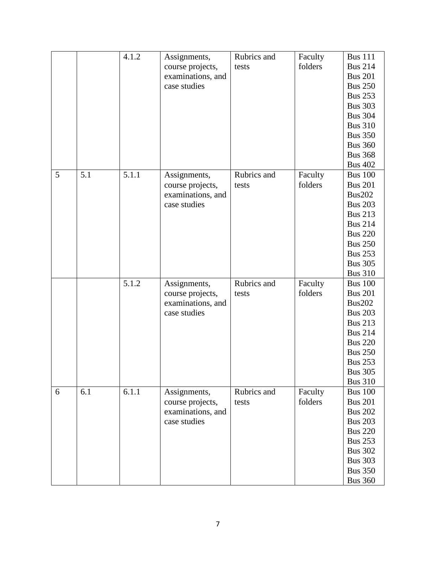|   |     | 4.1.2 | Assignments,      | Rubrics and | Faculty | <b>Bus 111</b> |
|---|-----|-------|-------------------|-------------|---------|----------------|
|   |     |       | course projects,  | tests       | folders | <b>Bus 214</b> |
|   |     |       | examinations, and |             |         | <b>Bus 201</b> |
|   |     |       | case studies      |             |         | <b>Bus 250</b> |
|   |     |       |                   |             |         | <b>Bus 253</b> |
|   |     |       |                   |             |         | <b>Bus 303</b> |
|   |     |       |                   |             |         | <b>Bus 304</b> |
|   |     |       |                   |             |         | <b>Bus 310</b> |
|   |     |       |                   |             |         | <b>Bus 350</b> |
|   |     |       |                   |             |         | <b>Bus 360</b> |
|   |     |       |                   |             |         | <b>Bus 368</b> |
|   |     |       |                   |             |         | <b>Bus 402</b> |
| 5 | 5.1 | 5.1.1 | Assignments,      | Rubrics and | Faculty | <b>Bus 100</b> |
|   |     |       | course projects,  | tests       | folders | <b>Bus 201</b> |
|   |     |       | examinations, and |             |         | <b>Bus202</b>  |
|   |     |       | case studies      |             |         | <b>Bus 203</b> |
|   |     |       |                   |             |         | <b>Bus 213</b> |
|   |     |       |                   |             |         | <b>Bus 214</b> |
|   |     |       |                   |             |         | <b>Bus 220</b> |
|   |     |       |                   |             |         | <b>Bus 250</b> |
|   |     |       |                   |             |         | <b>Bus 253</b> |
|   |     |       |                   |             |         | <b>Bus 305</b> |
|   |     |       |                   |             |         | <b>Bus 310</b> |
|   |     | 5.1.2 | Assignments,      | Rubrics and | Faculty | <b>Bus 100</b> |
|   |     |       | course projects,  | tests       | folders | <b>Bus 201</b> |
|   |     |       | examinations, and |             |         | <b>Bus202</b>  |
|   |     |       | case studies      |             |         | <b>Bus 203</b> |
|   |     |       |                   |             |         | <b>Bus 213</b> |
|   |     |       |                   |             |         | <b>Bus 214</b> |
|   |     |       |                   |             |         | <b>Bus 220</b> |
|   |     |       |                   |             |         | <b>Bus 250</b> |
|   |     |       |                   |             |         | <b>Bus 253</b> |
|   |     |       |                   |             |         | <b>Bus 305</b> |
|   |     |       |                   |             |         | <b>Bus 310</b> |
| 6 | 6.1 | 6.1.1 | Assignments,      | Rubrics and | Faculty | <b>Bus 100</b> |
|   |     |       | course projects,  | tests       | folders | <b>Bus 201</b> |
|   |     |       | examinations, and |             |         | <b>Bus 202</b> |
|   |     |       | case studies      |             |         | <b>Bus 203</b> |
|   |     |       |                   |             |         | <b>Bus 220</b> |
|   |     |       |                   |             |         | <b>Bus 253</b> |
|   |     |       |                   |             |         | <b>Bus 302</b> |
|   |     |       |                   |             |         | <b>Bus 303</b> |
|   |     |       |                   |             |         | <b>Bus 350</b> |
|   |     |       |                   |             |         | <b>Bus 360</b> |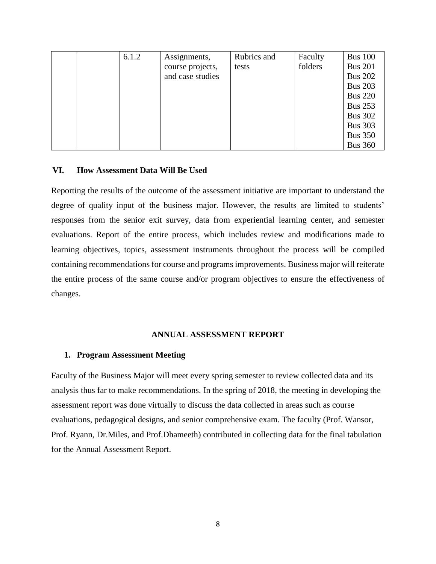|  | 6.1.2 | Assignments,     | Rubrics and | Faculty | <b>Bus 100</b> |
|--|-------|------------------|-------------|---------|----------------|
|  |       | course projects, | tests       | folders | <b>Bus 201</b> |
|  |       | and case studies |             |         | <b>Bus 202</b> |
|  |       |                  |             |         | <b>Bus 203</b> |
|  |       |                  |             |         | <b>Bus 220</b> |
|  |       |                  |             |         | <b>Bus 253</b> |
|  |       |                  |             |         | <b>Bus 302</b> |
|  |       |                  |             |         | <b>Bus 303</b> |
|  |       |                  |             |         | <b>Bus 350</b> |
|  |       |                  |             |         | <b>Bus 360</b> |

### **VI. How Assessment Data Will Be Used**

Reporting the results of the outcome of the assessment initiative are important to understand the degree of quality input of the business major. However, the results are limited to students' responses from the senior exit survey, data from experiential learning center, and semester evaluations. Report of the entire process, which includes review and modifications made to learning objectives, topics, assessment instruments throughout the process will be compiled containing recommendations for course and programs improvements. Business major will reiterate the entire process of the same course and/or program objectives to ensure the effectiveness of changes.

#### **ANNUAL ASSESSMENT REPORT**

#### **1. Program Assessment Meeting**

Faculty of the Business Major will meet every spring semester to review collected data and its analysis thus far to make recommendations. In the spring of 2018, the meeting in developing the assessment report was done virtually to discuss the data collected in areas such as course evaluations, pedagogical designs, and senior comprehensive exam. The faculty (Prof. Wansor, Prof. Ryann, Dr.Miles, and Prof.Dhameeth) contributed in collecting data for the final tabulation for the Annual Assessment Report.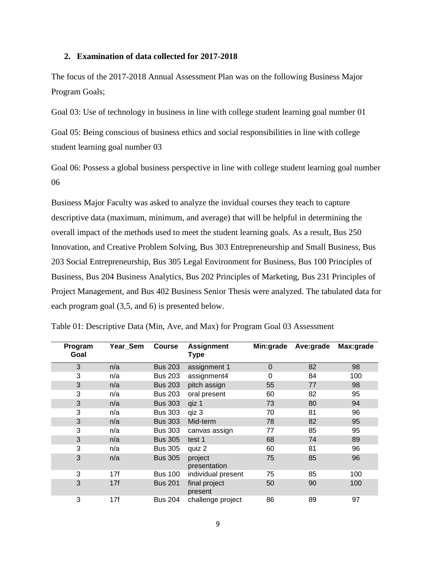#### **2. Examination of data collected for 2017-2018**

The focus of the 2017-2018 Annual Assessment Plan was on the following Business Major Program Goals;

Goal 03: Use of technology in business in line with college student learning goal number 01

Goal 05: Being conscious of business ethics and social responsibilities in line with college student learning goal number 03

Goal 06: Possess a global business perspective in line with college student learning goal number 06

Business Major Faculty was asked to analyze the invidual courses they teach to capture descriptive data (maximum, minimum, and average) that will be helpful in determining the overall impact of the methods used to meet the student learning goals. As a result, Bus 250 Innovation, and Creative Problem Solving, Bus 303 Entrepreneurship and Small Business, Bus 203 Social Entrepreneurship, Bus 305 Legal Environment for Business, Bus 100 Principles of Business, Bus 204 Business Analytics, Bus 202 Principles of Marketing, Bus 231 Principles of Project Management, and Bus 402 Business Senior Thesis were analyzed. The tabulated data for each program goal (3,5, and 6) is presented below.

| Program<br>Goal | Year_Sem | <b>Course</b>  | <b>Assignment</b><br><b>Type</b> | Min:grade   | Ave:grade | Max:grade |
|-----------------|----------|----------------|----------------------------------|-------------|-----------|-----------|
| 3               | n/a      | <b>Bus 203</b> | assignment 1                     | $\mathbf 0$ | 82        | 98        |
| 3               | n/a      | <b>Bus 203</b> | assignment4                      | 0           | 84        | 100       |
| 3               | n/a      | <b>Bus 203</b> | pitch assign                     | 55          | 77        | 98        |
| 3               | n/a      | <b>Bus 203</b> | oral present                     | 60          | 82        | 95        |
| 3               | n/a      | <b>Bus 303</b> | qiz 1                            | 73          | 80        | 94        |
| 3               | n/a      | <b>Bus 303</b> | qiz 3                            | 70          | 81        | 96        |
| 3               | n/a      | <b>Bus 303</b> | Mid-term                         | 78          | 82        | 95        |
| 3               | n/a      | <b>Bus 303</b> | canvas assign                    | 77          | 85        | 95        |
| 3               | n/a      | <b>Bus 305</b> | test 1                           | 68          | 74        | 89        |
| 3               | n/a      | <b>Bus 305</b> | quiz 2                           | 60          | 81        | 96        |
| 3               | n/a      | <b>Bus 305</b> | project<br>presentation          | 75          | 85        | 96        |
| 3               | 17f      | <b>Bus 100</b> | individual present               | 75          | 85        | 100       |
| 3               | 17f      | <b>Bus 201</b> | final project<br>present         | 50          | 90        | 100       |
| 3               | 17f      | <b>Bus 204</b> | challenge project                | 86          | 89        | 97        |

Table 01: Descriptive Data (Min, Ave, and Max) for Program Goal 03 Assessment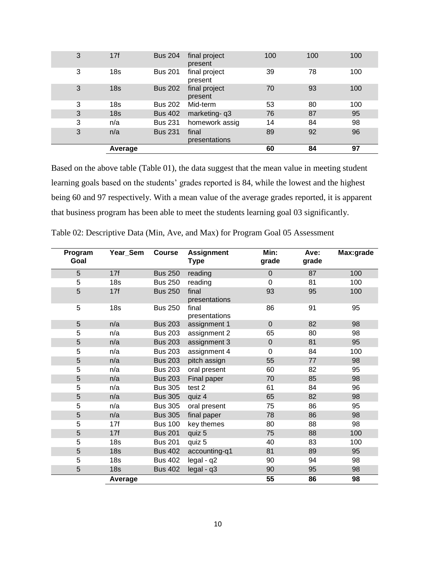|   | Average         |                |                          | 60  | 84  | 97  |
|---|-----------------|----------------|--------------------------|-----|-----|-----|
|   |                 |                | presentations            |     |     |     |
| 3 | n/a             | <b>Bus 231</b> | final                    | 89  | 92  | 96  |
| 3 | n/a             | <b>Bus 231</b> | homework assig           | 14  | 84  | 98  |
| 3 | 18 <sub>s</sub> | <b>Bus 402</b> | marketing-q3             | 76  | 87  | 95  |
| 3 | 18 <sub>s</sub> | <b>Bus 202</b> | Mid-term                 | 53  | 80  | 100 |
| 3 | 18 <sub>s</sub> | <b>Bus 202</b> | final project<br>present | 70  | 93  | 100 |
| 3 | 18 <sub>s</sub> | <b>Bus 201</b> | final project<br>present | 39  | 78  | 100 |
| 3 | 17f             | <b>Bus 204</b> | final project<br>present | 100 | 100 | 100 |

Based on the above table (Table 01), the data suggest that the mean value in meeting student learning goals based on the students' grades reported is 84, while the lowest and the highest being 60 and 97 respectively. With a mean value of the average grades reported, it is apparent that business program has been able to meet the students learning goal 03 significantly.

| Program<br>Goal | Year_Sem        | <b>Course</b>  | <b>Assignment</b><br>Type | Min:<br>grade    | Ave:<br>grade | Max:grade |
|-----------------|-----------------|----------------|---------------------------|------------------|---------------|-----------|
| 5               | 17f             | <b>Bus 250</b> | reading                   | $\overline{0}$   | 87            | 100       |
| 5               | 18 <sub>s</sub> | <b>Bus 250</b> | reading                   | $\Omega$         | 81            | 100       |
| 5               | 17f             | <b>Bus 250</b> | final<br>presentations    | 93               | 95            | 100       |
| 5               | 18 <sub>s</sub> | <b>Bus 250</b> | final<br>presentations    | 86               | 91            | 95        |
| 5               | n/a             | <b>Bus 203</b> | assignment 1              | $\pmb{0}$        | 82            | 98        |
| 5               | n/a             | <b>Bus 203</b> | assignment 2              | 65               | 80            | 98        |
| 5               | n/a             | <b>Bus 203</b> | assignment 3              | $\boldsymbol{0}$ | 81            | 95        |
| 5               | n/a             | <b>Bus 203</b> | assignment 4              | $\mathbf 0$      | 84            | 100       |
| 5               | n/a             | <b>Bus 203</b> | pitch assign              | 55               | 77            | 98        |
| 5               | n/a             | <b>Bus 203</b> | oral present              | 60               | 82            | 95        |
| 5               | n/a             | <b>Bus 203</b> | Final paper               | 70               | 85            | 98        |
| 5               | n/a             | <b>Bus 305</b> | test 2                    | 61               | 84            | 96        |
| 5               | n/a             | <b>Bus 305</b> | quiz 4                    | 65               | 82            | 98        |
| 5               | n/a             | <b>Bus 305</b> | oral present              | 75               | 86            | 95        |
| 5               | n/a             | <b>Bus 305</b> | final paper               | 78               | 86            | 98        |
| 5               | 17f             | <b>Bus 100</b> | key themes                | 80               | 88            | 98        |
| 5               | 17f             | <b>Bus 201</b> | quiz 5                    | 75               | 88            | 100       |
| 5               | 18 <sub>s</sub> | <b>Bus 201</b> | quiz 5                    | 40               | 83            | 100       |
| 5               | 18 <sub>s</sub> | <b>Bus 402</b> | accounting-q1             | 81               | 89            | 95        |
| 5               | 18 <sub>s</sub> | <b>Bus 402</b> | legal - q2                | 90               | 94            | 98        |
| 5               | 18 <sub>s</sub> | <b>Bus 402</b> | legal - q3                | 90               | 95            | 98        |
|                 | Average         |                |                           | 55               | 86            | 98        |

Table 02: Descriptive Data (Min, Ave, and Max) for Program Goal 05 Assessment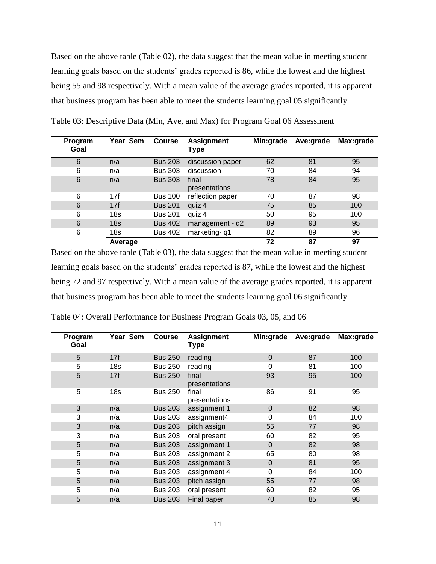Based on the above table (Table 02), the data suggest that the mean value in meeting student learning goals based on the students' grades reported is 86, while the lowest and the highest being 55 and 98 respectively. With a mean value of the average grades reported, it is apparent that business program has been able to meet the students learning goal 05 significantly.

| Program<br>Goal | Year_Sem        | <b>Course</b>  | <b>Assignment</b><br>Type | Min:grade | Ave:grade | Max:grade |
|-----------------|-----------------|----------------|---------------------------|-----------|-----------|-----------|
| 6               | n/a             | <b>Bus 203</b> | discussion paper          | 62        | 81        | 95        |
| 6               | n/a             | <b>Bus 303</b> | discussion                | 70        | 84        | 94        |
| 6               | n/a             | <b>Bus 303</b> | final<br>presentations    | 78        | 84        | 95        |
| 6               | 17f             | <b>Bus 100</b> | reflection paper          | 70        | 87        | 98        |
| 6               | 17f             | <b>Bus 201</b> | quiz 4                    | 75        | 85        | 100       |
| 6               | 18 <sub>S</sub> | <b>Bus 201</b> | quiz 4                    | 50        | 95        | 100       |
| 6               | 18 <sub>s</sub> | <b>Bus 402</b> | management - q2           | 89        | 93        | 95        |
| 6               | 18 <sub>s</sub> | <b>Bus 402</b> | marketing-q1              | 82        | 89        | 96        |
|                 | Average         |                |                           | 72        | 87        | 97        |

Table 03: Descriptive Data (Min, Ave, and Max) for Program Goal 06 Assessment

Based on the above table (Table 03), the data suggest that the mean value in meeting student learning goals based on the students' grades reported is 87, while the lowest and the highest being 72 and 97 respectively. With a mean value of the average grades reported, it is apparent that business program has been able to meet the students learning goal 06 significantly.

| Program<br>Goal | Year_Sem        | <b>Course</b>  | <b>Assignment</b><br><b>Type</b> | Min:grade   | Ave:grade | Max:grade |
|-----------------|-----------------|----------------|----------------------------------|-------------|-----------|-----------|
| 5               | 17f             | <b>Bus 250</b> | reading                          | $\mathbf 0$ | 87        | 100       |
| 5               | 18 <sub>s</sub> | <b>Bus 250</b> | reading                          | 0           | 81        | 100       |
| 5               | 17f             | <b>Bus 250</b> | final<br>presentations           | 93          | 95        | 100       |
| 5               | 18 <sub>s</sub> | <b>Bus 250</b> | final<br>presentations           | 86          | 91        | 95        |
| 3               | n/a             | <b>Bus 203</b> | assignment 1                     | $\pmb{0}$   | 82        | 98        |
| 3               | n/a             | <b>Bus 203</b> | assignment4                      | 0           | 84        | 100       |
| 3               | n/a             | <b>Bus 203</b> | pitch assign                     | 55          | 77        | 98        |
| 3               | n/a             | <b>Bus 203</b> | oral present                     | 60          | 82        | 95        |
| 5               | n/a             | <b>Bus 203</b> | assignment 1                     | $\mathbf 0$ | 82        | 98        |
| 5               | n/a             | <b>Bus 203</b> | assignment 2                     | 65          | 80        | 98        |
| 5               | n/a             | <b>Bus 203</b> | assignment 3                     | $\mathbf 0$ | 81        | 95        |
| 5               | n/a             | <b>Bus 203</b> | assignment 4                     | 0           | 84        | 100       |
| 5               | n/a             | <b>Bus 203</b> | pitch assign                     | 55          | 77        | 98        |
| 5               | n/a             | <b>Bus 203</b> | oral present                     | 60          | 82        | 95        |
| 5               | n/a             | <b>Bus 203</b> | Final paper                      | 70          | 85        | 98        |

Table 04: Overall Performance for Business Program Goals 03, 05, and 06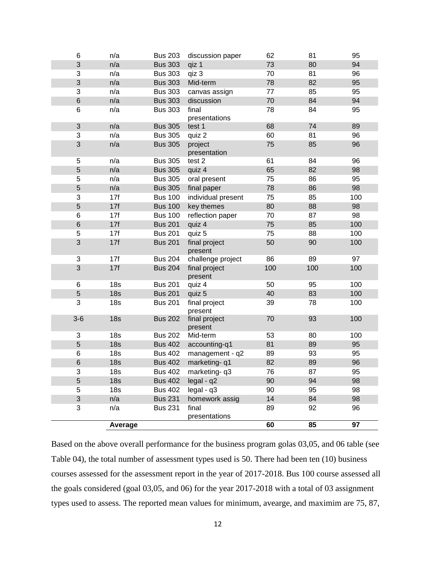| 6                         | n/a             | <b>Bus 203</b> | discussion paper         | 62  | 81  | 95  |
|---------------------------|-----------------|----------------|--------------------------|-----|-----|-----|
| 3                         | n/a             | <b>Bus 303</b> | qiz 1                    | 73  | 80  | 94  |
| 3                         | n/a             | <b>Bus 303</b> | qiz 3                    | 70  | 81  | 96  |
| 3                         | n/a             | <b>Bus 303</b> | Mid-term                 |     | 82  | 95  |
| 3                         | n/a             | <b>Bus 303</b> | canvas assign            | 77  | 85  | 95  |
| $\,$ 6 $\,$               | n/a             | <b>Bus 303</b> | discussion               | 70  | 84  | 94  |
| 6                         | n/a             | <b>Bus 303</b> | final<br>presentations   | 78  | 84  | 95  |
| $\sqrt{3}$                | n/a             | <b>Bus 305</b> | test 1                   | 68  | 74  | 89  |
| 3                         | n/a             | <b>Bus 305</b> | quiz 2                   | 60  | 81  | 96  |
| 3                         | n/a             | <b>Bus 305</b> | project<br>presentation  | 75  | 85  | 96  |
| 5                         | n/a             | <b>Bus 305</b> | test 2                   | 61  | 84  | 96  |
| $\sqrt{5}$                | n/a             | <b>Bus 305</b> | quiz 4                   | 65  | 82  | 98  |
| 5                         | n/a             | <b>Bus 305</b> | oral present             | 75  | 86  | 95  |
| 5                         | n/a             | <b>Bus 305</b> | final paper              | 78  | 86  | 98  |
| 3                         | 17f             | <b>Bus 100</b> | individual present       | 75  | 85  | 100 |
| $\sqrt{5}$                | 17f             | <b>Bus 100</b> | key themes               | 80  | 88  | 98  |
| 6                         | 17f             | <b>Bus 100</b> | reflection paper         | 70  | 87  | 98  |
| $\,$ 6 $\,$               | 17f             | <b>Bus 201</b> | quiz 4                   | 75  | 85  | 100 |
| 5                         | 17f             | <b>Bus 201</b> | quiz 5                   | 75  | 88  | 100 |
| 3                         | 17f             | <b>Bus 201</b> | final project<br>present | 50  | 90  | 100 |
| $\ensuremath{\mathsf{3}}$ | 17f             | <b>Bus 204</b> | challenge project        | 86  | 89  | 97  |
| 3                         | 17f             | <b>Bus 204</b> | final project<br>present | 100 | 100 | 100 |
| 6                         | 18 <sub>s</sub> | <b>Bus 201</b> | quiz 4                   | 50  | 95  | 100 |
| $\sqrt{5}$                | 18 <sub>s</sub> | <b>Bus 201</b> | quiz 5                   | 40  | 83  | 100 |
| 3                         | 18 <sub>s</sub> | <b>Bus 201</b> | final project<br>present | 39  | 78  | 100 |
| $3-6$                     | 18 <sub>s</sub> | <b>Bus 202</b> | final project<br>present | 70  | 93  | 100 |
| 3                         | 18 <sub>s</sub> | <b>Bus 202</b> | Mid-term                 | 53  | 80  | 100 |
| $\overline{5}$            | 18 <sub>s</sub> | <b>Bus 402</b> | accounting-q1            | 81  | 89  | 95  |
| 6                         | 18 <sub>s</sub> | <b>Bus 402</b> | management - q2          | 89  | 93  | 95  |
| $\,$ 6 $\,$               | 18 <sub>s</sub> | <b>Bus 402</b> | marketing-q1             | 82  | 89  | 96  |
| З                         | 18 <sub>s</sub> | <b>Bus 402</b> | marketing-q3             | 76  | 87  | 95  |
| $\sqrt{5}$                | 18 <sub>s</sub> | <b>Bus 402</b> | $legal - q2$             | 90  | 94  | 98  |
| 5                         | 18 <sub>s</sub> | <b>Bus 402</b> | $legal - q3$             | 90  | 95  | 98  |
| 3                         | n/a             | <b>Bus 231</b> | homework assig           | 14  | 84  | 98  |
| 3                         | n/a             | <b>Bus 231</b> | final<br>presentations   | 89  | 92  | 96  |
|                           | Average         |                |                          | 60  | 85  | 97  |

Based on the above overall performance for the business program golas 03,05, and 06 table (see Table 04), the total number of assessment types used is 50. There had been ten (10) business courses assessed for the assessment report in the year of 2017-2018. Bus 100 course assessed all the goals considered (goal 03,05, and 06) for the year 2017-2018 with a total of 03 assignment types used to assess. The reported mean values for minimum, avearge, and maximim are 75, 87,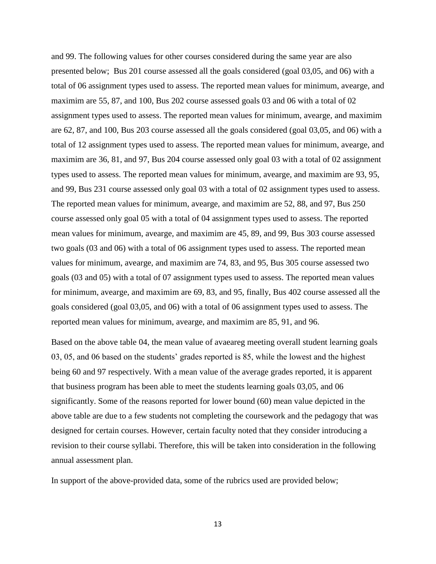and 99. The following values for other courses considered during the same year are also presented below; Bus 201 course assessed all the goals considered (goal 03,05, and 06) with a total of 06 assignment types used to assess. The reported mean values for minimum, avearge, and maximim are 55, 87, and 100, Bus 202 course assessed goals 03 and 06 with a total of 02 assignment types used to assess. The reported mean values for minimum, avearge, and maximim are 62, 87, and 100, Bus 203 course assessed all the goals considered (goal 03,05, and 06) with a total of 12 assignment types used to assess. The reported mean values for minimum, avearge, and maximim are 36, 81, and 97, Bus 204 course assessed only goal 03 with a total of 02 assignment types used to assess. The reported mean values for minimum, avearge, and maximim are 93, 95, and 99, Bus 231 course assessed only goal 03 with a total of 02 assignment types used to assess. The reported mean values for minimum, avearge, and maximim are 52, 88, and 97, Bus 250 course assessed only goal 05 with a total of 04 assignment types used to assess. The reported mean values for minimum, avearge, and maximim are 45, 89, and 99, Bus 303 course assessed two goals (03 and 06) with a total of 06 assignment types used to assess. The reported mean values for minimum, avearge, and maximim are 74, 83, and 95, Bus 305 course assessed two goals (03 and 05) with a total of 07 assignment types used to assess. The reported mean values for minimum, avearge, and maximim are 69, 83, and 95, finally, Bus 402 course assessed all the goals considered (goal 03,05, and 06) with a total of 06 assignment types used to assess. The reported mean values for minimum, avearge, and maximim are 85, 91, and 96.

Based on the above table 04, the mean value of avaeareg meeting overall student learning goals 03, 05, and 06 based on the students' grades reported is 85, while the lowest and the highest being 60 and 97 respectively. With a mean value of the average grades reported, it is apparent that business program has been able to meet the students learning goals 03,05, and 06 significantly. Some of the reasons reported for lower bound (60) mean value depicted in the above table are due to a few students not completing the coursework and the pedagogy that was designed for certain courses. However, certain faculty noted that they consider introducing a revision to their course syllabi. Therefore, this will be taken into consideration in the following annual assessment plan.

In support of the above-provided data, some of the rubrics used are provided below;

13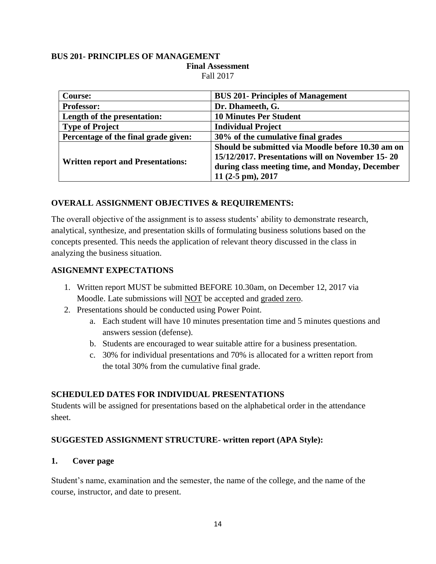### **BUS 201- PRINCIPLES OF MANAGEMENT Final Assessment** Fall 2017

| <b>Course:</b>                           | <b>BUS 201-Principles of Management</b>                                                                                                                  |
|------------------------------------------|----------------------------------------------------------------------------------------------------------------------------------------------------------|
| <b>Professor:</b>                        | Dr. Dhameeth, G.                                                                                                                                         |
| Length of the presentation:              | <b>10 Minutes Per Student</b>                                                                                                                            |
| <b>Type of Project</b>                   | <b>Individual Project</b>                                                                                                                                |
| Percentage of the final grade given:     | 30% of the cumulative final grades                                                                                                                       |
| <b>Written report and Presentations:</b> | Should be submitted via Moodle before 10.30 am on<br>15/12/2017. Presentations will on November 15-20<br>during class meeting time, and Monday, December |
|                                          | 11 (2-5 pm), 2017                                                                                                                                        |

### **OVERALL ASSIGNMENT OBJECTIVES & REQUIREMENTS:**

The overall objective of the assignment is to assess students' ability to demonstrate research, analytical, synthesize, and presentation skills of formulating business solutions based on the concepts presented. This needs the application of relevant theory discussed in the class in analyzing the business situation.

### **ASIGNEMNT EXPECTATIONS**

- 1. Written report MUST be submitted BEFORE 10.30am, on December 12, 2017 via Moodle. Late submissions will NOT be accepted and graded zero.
- 2. Presentations should be conducted using Power Point.
	- a. Each student will have 10 minutes presentation time and 5 minutes questions and answers session (defense).
	- b. Students are encouraged to wear suitable attire for a business presentation.
	- c. 30% for individual presentations and 70% is allocated for a written report from the total 30% from the cumulative final grade.

### **SCHEDULED DATES FOR INDIVIDUAL PRESENTATIONS**

Students will be assigned for presentations based on the alphabetical order in the attendance sheet.

### **SUGGESTED ASSIGNMENT STRUCTURE- written report (APA Style):**

### **1. Cover page**

Student's name, examination and the semester, the name of the college, and the name of the course, instructor, and date to present.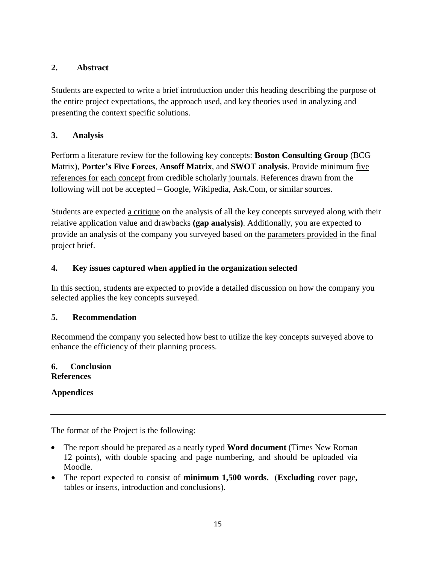## **2. Abstract**

Students are expected to write a brief introduction under this heading describing the purpose of the entire project expectations, the approach used, and key theories used in analyzing and presenting the context specific solutions.

# **3. Analysis**

Perform a literature review for the following key concepts: **Boston Consulting Group** (BCG Matrix), **Porter's Five Forces**, **Ansoff Matrix**, and **SWOT analysis**. Provide minimum five references for each concept from credible scholarly journals. References drawn from the following will not be accepted – Google, Wikipedia, Ask.Com, or similar sources.

Students are expected a critique on the analysis of all the key concepts surveyed along with their relative application value and drawbacks **(gap analysis)**. Additionally, you are expected to provide an analysis of the company you surveyed based on the parameters provided in the final project brief.

# **4. Key issues captured when applied in the organization selected**

In this section, students are expected to provide a detailed discussion on how the company you selected applies the key concepts surveyed.

# **5. Recommendation**

Recommend the company you selected how best to utilize the key concepts surveyed above to enhance the efficiency of their planning process.

### **6. Conclusion References**

**Appendices**

The format of the Project is the following:

- The report should be prepared as a neatly typed **Word document** (Times New Roman 12 points), with double spacing and page numbering, and should be uploaded via Moodle.
- The report expected to consist of **minimum 1,500 words.** (**Excluding** cover page, tables or inserts, introduction and conclusions).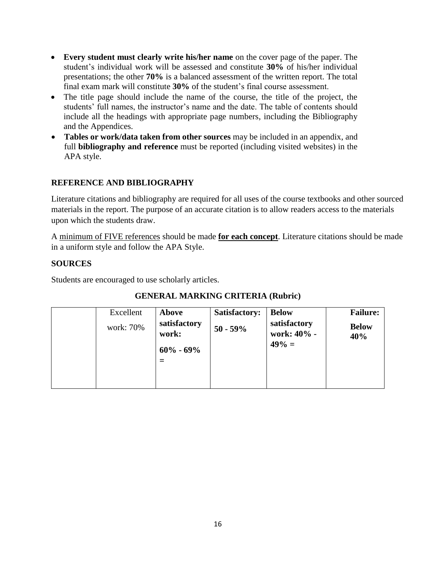- **Every student must clearly write his/her name** on the cover page of the paper. The student's individual work will be assessed and constitute **30%** of his/her individual presentations; the other **70%** is a balanced assessment of the written report. The total final exam mark will constitute **30%** of the student's final course assessment.
- The title page should include the name of the course, the title of the project, the students' full names, the instructor's name and the date. The table of contents should include all the headings with appropriate page numbers, including the Bibliography and the Appendices.
- **Tables or work/data taken from other sources** may be included in an appendix, and full **bibliography and reference** must be reported (including visited websites) in the APA style.

# **REFERENCE AND BIBLIOGRAPHY**

Literature citations and bibliography are required for all uses of the course textbooks and other sourced materials in the report. The purpose of an accurate citation is to allow readers access to the materials upon which the students draw.

A minimum of FIVE references should be made **for each concept**. Literature citations should be made in a uniform style and follow the APA Style.

### **SOURCES**

Students are encouraged to use scholarly articles.

| Excellent | Above                 | <b>Satisfactory:</b> | <b>Below</b>                            | <b>Failure:</b>     |
|-----------|-----------------------|----------------------|-----------------------------------------|---------------------|
| work: 70% | satisfactory<br>work: | $50 - 59\%$          | satisfactory<br>work: 40% -<br>$49\% =$ | <b>Below</b><br>40% |
|           | $60\% - 69\%$         |                      |                                         |                     |
|           |                       |                      |                                         |                     |

### **GENERAL MARKING CRITERIA (Rubric)**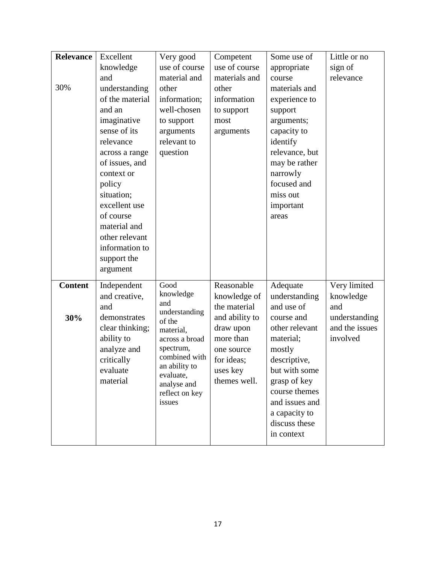| <b>Relevance</b><br>Excellent<br>Very good<br>Some use of<br>Competent         | Little or no   |
|--------------------------------------------------------------------------------|----------------|
| use of course<br>use of course<br>knowledge<br>appropriate                     | sign of        |
| material and<br>materials and<br>and<br>course                                 | relevance      |
| 30%<br>understanding<br>other<br>other<br>materials and                        |                |
| of the material<br>information;<br>information<br>experience to                |                |
| well-chosen<br>and an<br>to support<br>support                                 |                |
| imaginative<br>to support<br>arguments;<br>most                                |                |
| sense of its<br>capacity to<br>arguments<br>arguments                          |                |
| relevance<br>relevant to<br>identify                                           |                |
| question<br>relevance, but<br>across a range                                   |                |
| of issues, and<br>may be rather                                                |                |
| narrowly<br>context or                                                         |                |
| focused and<br>policy                                                          |                |
| situation;<br>miss out                                                         |                |
| excellent use<br>important                                                     |                |
| of course<br>areas                                                             |                |
| material and                                                                   |                |
| other relevant                                                                 |                |
| information to                                                                 |                |
| support the                                                                    |                |
| argument                                                                       |                |
| Good<br><b>Content</b><br>Reasonable<br>Independent<br>Adequate                | Very limited   |
| knowledge<br>knowledge of<br>and creative,<br>understanding                    | knowledge      |
| and<br>and use of<br>the material<br>and<br>and                                |                |
| understanding<br>and ability to<br>30%<br>demonstrates<br>course and<br>of the | understanding  |
| other relevant<br>clear thinking;<br>draw upon<br>material,                    | and the issues |
| more than<br>ability to<br>material;<br>across a broad                         | involved       |
| spectrum,<br>analyze and<br>mostly<br>one source                               |                |
| combined with<br>descriptive,<br>critically<br>for ideas;                      |                |
| an ability to<br>but with some<br>evaluate<br>uses key<br>evaluate,            |                |
| themes well.<br>material<br>grasp of key<br>analyse and                        |                |
| course themes<br>reflect on key                                                |                |
| and issues and<br>issues                                                       |                |
| a capacity to                                                                  |                |
| discuss these                                                                  |                |
| in context                                                                     |                |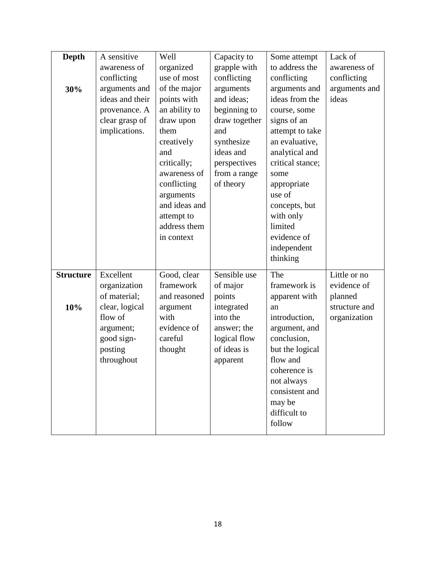| <b>Depth</b>     | A sensitive     | Well          | Capacity to   | Some attempt     | Lack of       |
|------------------|-----------------|---------------|---------------|------------------|---------------|
|                  | awareness of    | organized     | grapple with  | to address the   | awareness of  |
|                  | conflicting     | use of most   | conflicting   | conflicting      | conflicting   |
| 30%              | arguments and   | of the major  | arguments     | arguments and    | arguments and |
|                  | ideas and their | points with   | and ideas;    | ideas from the   | ideas         |
|                  | provenance. A   | an ability to | beginning to  | course, some     |               |
|                  | clear grasp of  | draw upon     | draw together | signs of an      |               |
|                  | implications.   | them          | and           | attempt to take  |               |
|                  |                 | creatively    | synthesize    | an evaluative,   |               |
|                  |                 | and           | ideas and     | analytical and   |               |
|                  |                 | critically;   | perspectives  | critical stance; |               |
|                  |                 | awareness of  | from a range  | some             |               |
|                  |                 | conflicting   | of theory     | appropriate      |               |
|                  |                 | arguments     |               | use of           |               |
|                  |                 | and ideas and |               | concepts, but    |               |
|                  |                 | attempt to    |               | with only        |               |
|                  |                 | address them  |               | limited          |               |
|                  |                 | in context    |               | evidence of      |               |
|                  |                 |               |               | independent      |               |
|                  |                 |               |               | thinking         |               |
| <b>Structure</b> | Excellent       | Good, clear   | Sensible use  | The              | Little or no  |
|                  | organization    | framework     | of major      | framework is     | evidence of   |
|                  | of material;    | and reasoned  | points        | apparent with    | planned       |
| 10%              | clear, logical  | argument      | integrated    | an               | structure and |
|                  | flow of         | with          | into the      | introduction,    | organization  |
|                  | argument;       | evidence of   | answer; the   | argument, and    |               |
|                  | good sign-      | careful       | logical flow  | conclusion,      |               |
|                  | posting         | thought       | of ideas is   | but the logical  |               |
|                  | throughout      |               | apparent      | flow and         |               |
|                  |                 |               |               | coherence is     |               |
|                  |                 |               |               | not always       |               |
|                  |                 |               |               | consistent and   |               |
|                  |                 |               |               | may be           |               |
|                  |                 |               |               | difficult to     |               |
|                  |                 |               |               | follow           |               |
|                  |                 |               |               |                  |               |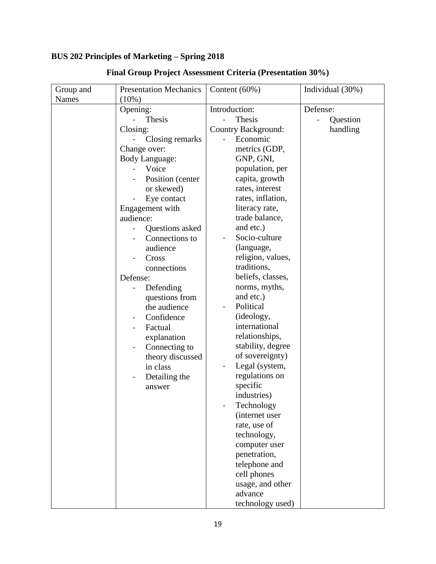# **BUS 202 Principles of Marketing – Spring 2018**

| Group and    | <b>Presentation Mechanics</b>         | Content $(60\%)$    | Individual (30%) |
|--------------|---------------------------------------|---------------------|------------------|
| <b>Names</b> | $(10\%)$                              |                     |                  |
|              | Opening:                              | Introduction:       | Defense:         |
|              | Thesis                                | Thesis              | Question         |
|              | Closing:                              | Country Background: | handling         |
|              | Closing remarks                       | Economic            |                  |
|              | Change over:                          | metrics (GDP,       |                  |
|              | <b>Body Language:</b>                 | GNP, GNI,           |                  |
|              | Voice                                 | population, per     |                  |
|              | Position (center                      | capita, growth      |                  |
|              | or skewed)                            | rates, interest     |                  |
|              | Eye contact                           | rates, inflation,   |                  |
|              | Engagement with                       | literacy rate,      |                  |
|              | audience:                             | trade balance,      |                  |
|              | Questions asked                       | and etc.)           |                  |
|              | Connections to                        | Socio-culture       |                  |
|              | audience                              | (language,          |                  |
|              | Cross                                 | religion, values,   |                  |
|              | connections                           | traditions,         |                  |
|              | Defense:                              | beliefs, classes,   |                  |
|              | Defending<br>$\overline{\phantom{0}}$ | norms, myths,       |                  |
|              | questions from                        | and etc.)           |                  |
|              | the audience                          | Political           |                  |
|              | Confidence                            | (ideology,          |                  |
|              | Factual                               | international       |                  |
|              | explanation                           | relationships,      |                  |
|              | Connecting to<br>$\qquad \qquad -$    | stability, degree   |                  |
|              | theory discussed                      | of sovereignty)     |                  |
|              | in class                              | Legal (system,      |                  |
|              | Detailing the<br>$\overline{a}$       | regulations on      |                  |
|              | answer                                | specific            |                  |
|              |                                       | industries)         |                  |
|              |                                       | Technology          |                  |
|              |                                       | (internet user      |                  |
|              |                                       | rate, use of        |                  |
|              |                                       | technology,         |                  |
|              |                                       | computer user       |                  |
|              |                                       | penetration,        |                  |
|              |                                       | telephone and       |                  |
|              |                                       | cell phones         |                  |
|              |                                       | usage, and other    |                  |
|              |                                       | advance             |                  |
|              |                                       | technology used)    |                  |

# **Final Group Project Assessment Criteria (Presentation 30%)**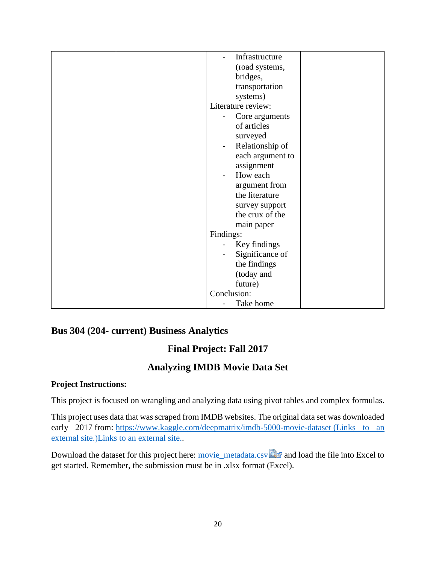| Infrastructure                              |
|---------------------------------------------|
| (road systems,                              |
| bridges,                                    |
| transportation                              |
| systems)                                    |
| Literature review:                          |
| Core arguments                              |
| of articles                                 |
| surveyed                                    |
| Relationship of<br>$\overline{\phantom{0}}$ |
| each argument to                            |
| assignment                                  |
| How each<br>-                               |
| argument from                               |
| the literature                              |
| survey support                              |
| the crux of the                             |
| main paper                                  |
| Findings:                                   |
| Key findings                                |
| Significance of                             |
| the findings                                |
| (today and                                  |
| future)                                     |
| Conclusion:                                 |
| Take home                                   |

# **Bus 304 (204- current) Business Analytics**

# **Final Project: Fall 2017**

# **Analyzing IMDB Movie Data Set**

# **Project Instructions:**

This project is focused on wrangling and analyzing data using pivot tables and complex formulas.

This project uses data that was scraped from IMDB websites. The original data set was downloaded early 2017 from: <https://www.kaggle.com/deepmatrix/imdb-5000-movie-dataset> (Links to an [external site.\)Links to an external site..](https://www.kaggle.com/deepmatrix/imdb-5000-movie-dataset)

Download the dataset for this project here: [movie\\_metadata.csv](https://learn.maryville.edu/courses/23685/files/3371351/download?verifier=BdPqzXGHGDRmfLtZwFqXABYE1up5iuM8NhxbZy45&wrap=1) and load the file into Excel to get started. Remember, the submission must be in .xlsx format (Excel).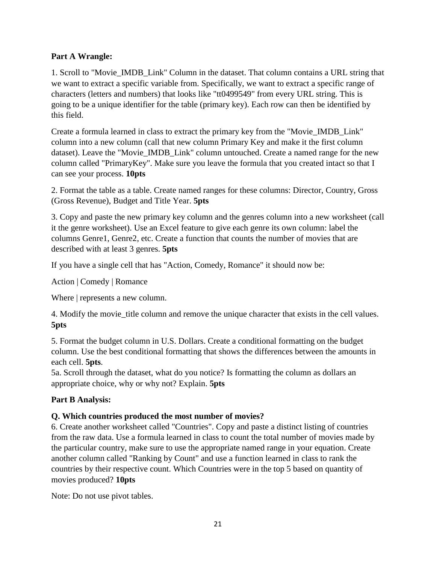## **Part A Wrangle:**

1. Scroll to "Movie\_IMDB\_Link" Column in the dataset. That column contains a URL string that we want to extract a specific variable from. Specifically, we want to extract a specific range of characters (letters and numbers) that looks like "tt0499549" from every URL string. This is going to be a unique identifier for the table (primary key). Each row can then be identified by this field.

Create a formula learned in class to extract the primary key from the "Movie\_IMDB\_Link" column into a new column (call that new column Primary Key and make it the first column dataset). Leave the "Movie\_IMDB\_Link" column untouched. Create a named range for the new column called "PrimaryKey". Make sure you leave the formula that you created intact so that I can see your process. **10pts**

2. Format the table as a table. Create named ranges for these columns: Director, Country, Gross (Gross Revenue), Budget and Title Year. **5pts**

3. Copy and paste the new primary key column and the genres column into a new worksheet (call it the genre worksheet). Use an Excel feature to give each genre its own column: label the columns Genre1, Genre2, etc. Create a function that counts the number of movies that are described with at least 3 genres. **5pts**

If you have a single cell that has "Action, Comedy, Romance" it should now be:

Action | Comedy | Romance

Where  $\vert$  represents a new column.

4. Modify the movie title column and remove the unique character that exists in the cell values. **5pts**

5. Format the budget column in U.S. Dollars. Create a conditional formatting on the budget column. Use the best conditional formatting that shows the differences between the amounts in each cell. **5pts**.

5a. Scroll through the dataset, what do you notice? Is formatting the column as dollars an appropriate choice, why or why not? Explain. **5pts**

# **Part B Analysis:**

# **Q. Which countries produced the most number of movies?**

6. Create another worksheet called "Countries". Copy and paste a distinct listing of countries from the raw data. Use a formula learned in class to count the total number of movies made by the particular country, make sure to use the appropriate named range in your equation. Create another column called "Ranking by Count" and use a function learned in class to rank the countries by their respective count. Which Countries were in the top 5 based on quantity of movies produced? **10pts**

Note: Do not use pivot tables.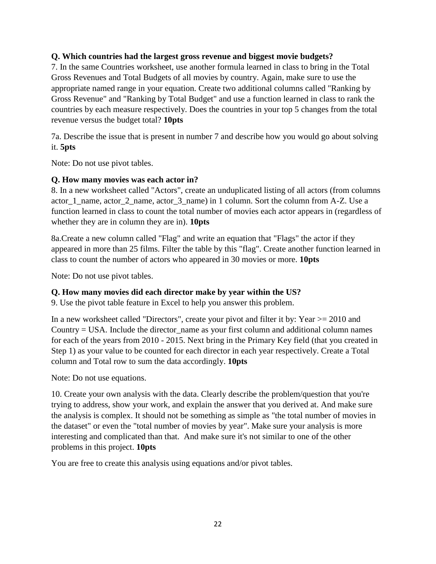### **Q. Which countries had the largest gross revenue and biggest movie budgets?**

7. In the same Countries worksheet, use another formula learned in class to bring in the Total Gross Revenues and Total Budgets of all movies by country. Again, make sure to use the appropriate named range in your equation. Create two additional columns called "Ranking by Gross Revenue" and "Ranking by Total Budget" and use a function learned in class to rank the countries by each measure respectively. Does the countries in your top 5 changes from the total revenue versus the budget total? **10pts**

7a. Describe the issue that is present in number 7 and describe how you would go about solving it. **5pts**

Note: Do not use pivot tables.

### **Q. How many movies was each actor in?**

8. In a new worksheet called "Actors", create an unduplicated listing of all actors (from columns actor 1 name, actor 2 name, actor 3 name) in 1 column. Sort the column from A-Z. Use a function learned in class to count the total number of movies each actor appears in (regardless of whether they are in column they are in). **10pts**

8a.Create a new column called "Flag" and write an equation that "Flags" the actor if they appeared in more than 25 films. Filter the table by this "flag". Create another function learned in class to count the number of actors who appeared in 30 movies or more. **10pts**

Note: Do not use pivot tables.

### **Q. How many movies did each director make by year within the US?**

9. Use the pivot table feature in Excel to help you answer this problem.

In a new worksheet called "Directors", create your pivot and filter it by: Year  $> = 2010$  and Country  $=$  USA. Include the director name as your first column and additional column names for each of the years from 2010 - 2015. Next bring in the Primary Key field (that you created in Step 1) as your value to be counted for each director in each year respectively. Create a Total column and Total row to sum the data accordingly. **10pts**

Note: Do not use equations.

10. Create your own analysis with the data. Clearly describe the problem/question that you're trying to address, show your work, and explain the answer that you derived at. And make sure the analysis is complex. It should not be something as simple as "the total number of movies in the dataset" or even the "total number of movies by year". Make sure your analysis is more interesting and complicated than that. And make sure it's not similar to one of the other problems in this project. **10pts**

You are free to create this analysis using equations and/or pivot tables.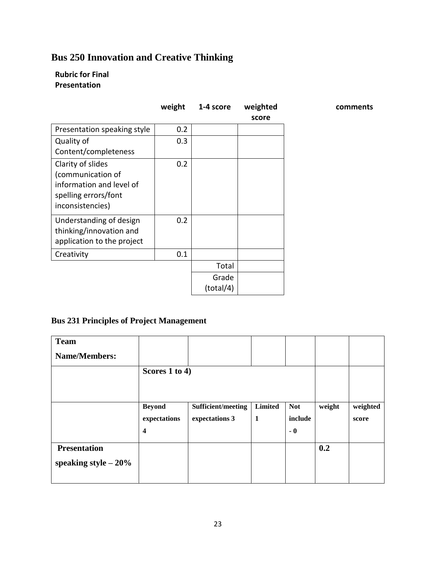# **Bus 250 Innovation and Creative Thinking**

## **Rubric for Final Presentation**

|                             | weight | 1-4 score | weighted |
|-----------------------------|--------|-----------|----------|
|                             |        |           | score    |
| Presentation speaking style | 0.2    |           |          |
| Quality of                  | 0.3    |           |          |
| Content/completeness        |        |           |          |
| Clarity of slides           | 0.2    |           |          |
| (communication of           |        |           |          |
| information and level of    |        |           |          |
| spelling errors/font        |        |           |          |
| inconsistencies)            |        |           |          |
| Understanding of design     | 0.2    |           |          |
| thinking/innovation and     |        |           |          |
| application to the project  |        |           |          |
| Creativity                  | 0.1    |           |          |
|                             |        | Total     |          |
|                             |        | Grade     |          |
|                             |        |           |          |

**comments**

# **Bus 231 Principles of Project Management**

| <b>Team</b>            |                         |                    |         |            |        |          |
|------------------------|-------------------------|--------------------|---------|------------|--------|----------|
| <b>Name/Members:</b>   |                         |                    |         |            |        |          |
|                        | Scores 1 to 4)          |                    |         |            |        |          |
|                        |                         |                    |         |            |        |          |
|                        |                         |                    |         |            |        |          |
|                        | <b>Beyond</b>           | Sufficient/meeting | Limited | <b>Not</b> | weight | weighted |
|                        | expectations            | expectations 3     | -1      | include    |        | score    |
|                        | $\overline{\mathbf{4}}$ |                    |         | $-0$       |        |          |
| <b>Presentation</b>    |                         |                    |         |            | 0.2    |          |
| speaking style $-20\%$ |                         |                    |         |            |        |          |
|                        |                         |                    |         |            |        |          |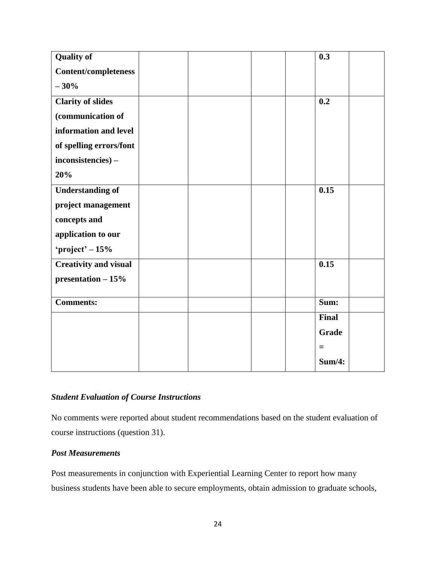| <b>Quality of</b>            |  | 0.3          |  |
|------------------------------|--|--------------|--|
| <b>Content/completeness</b>  |  |              |  |
| $-30%$                       |  |              |  |
| <b>Clarity of slides</b>     |  | 0.2          |  |
| (communication of            |  |              |  |
| information and level        |  |              |  |
| of spelling errors/font      |  |              |  |
| inconsistencies) -           |  |              |  |
| 20%                          |  |              |  |
| <b>Understanding of</b>      |  | 0.15         |  |
| project management           |  |              |  |
| concepts and                 |  |              |  |
| application to our           |  |              |  |
| 'project' $-15%$             |  |              |  |
| <b>Creativity and visual</b> |  | 0.15         |  |
| presentation $-15%$          |  |              |  |
|                              |  |              |  |
| <b>Comments:</b>             |  | Sum:         |  |
|                              |  | <b>Final</b> |  |
|                              |  | <b>Grade</b> |  |
|                              |  | $\equiv$     |  |
|                              |  | Sum/4:       |  |

### *Student Evaluation of Course Instructions*

No comments were reported about student recommendations based on the student evaluation of course instructions (question 31).

### *Post Measurements*

Post measurements in conjunction with Experiential Learning Center to report how many business students have been able to secure employments, obtain admission to graduate schools,